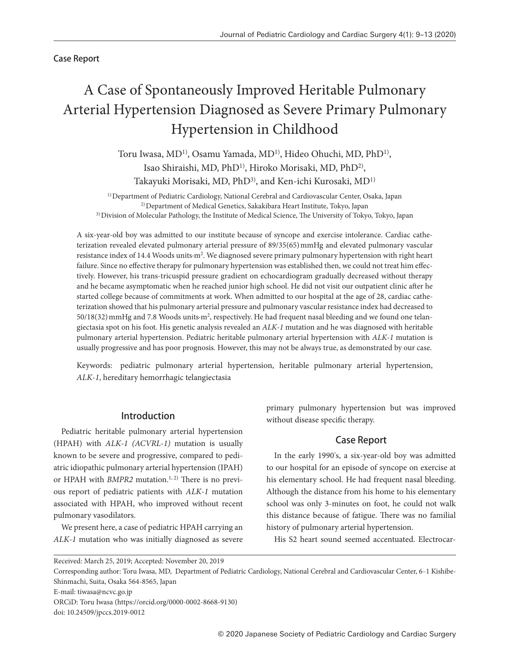## Case Report

# A Case of Spontaneously Improved Heritable Pulmonary Arterial Hypertension Diagnosed as Severe Primary Pulmonary Hypertension in Childhood

Toru Iwasa, MD<sup>1)</sup>, Osamu Yamada, MD<sup>1)</sup>, Hideo Ohuchi, MD, PhD<sup>1)</sup>, Isao Shiraishi, MD, PhD<sup>1)</sup>, Hiroko Morisaki, MD, PhD<sup>2)</sup>, Takayuki Morisaki, MD, PhD<sup>3)</sup>, and Ken-ichi Kurosaki, MD<sup>1)</sup>

1) Department of Pediatric Cardiology, National Cerebral and Cardiovascular Center, Osaka, Japan 2) Department of Medical Genetics, Sakakibara Heart Institute, Tokyo, Japan 3) Division of Molecular Pathology, the Institute of Medical Science, The University of Tokyo, Tokyo, Japan

A six-year-old boy was admitted to our institute because of syncope and exercise intolerance. Cardiac catheterization revealed elevated pulmonary arterial pressure of 89/35(65) mmHg and elevated pulmonary vascular resistance index of 14.4 Woods units·m2. We diagnosed severe primary pulmonary hypertension with right heart failure. Since no effective therapy for pulmonary hypertension was established then, we could not treat him effectively. However, his trans-tricuspid pressure gradient on echocardiogram gradually decreased without therapy and he became asymptomatic when he reached junior high school. He did not visit our outpatient clinic after he started college because of commitments at work. When admitted to our hospital at the age of 28, cardiac catheterization showed that his pulmonary arterial pressure and pulmonary vascular resistance index had decreased to 50/18(32) mmHg and 7.8 Woods units·m2, respectively. He had frequent nasal bleeding and we found one telangiectasia spot on his foot. His genetic analysis revealed an *ALK-1* mutation and he was diagnosed with heritable pulmonary arterial hypertension. Pediatric heritable pulmonary arterial hypertension with *ALK-1* mutation is usually progressive and has poor prognosis. However, this may not be always true, as demonstrated by our case.

Keywords: pediatric pulmonary arterial hypertension, heritable pulmonary arterial hypertension, *ALK-1*, hereditary hemorrhagic telangiectasia

## Introduction

Pediatric heritable pulmonary arterial hypertension (HPAH) with *ALK-1 (ACVRL-1)* mutation is usually known to be severe and progressive, compared to pediatric idiopathic pulmonary arterial hypertension (IPAH) or HPAH with *BMPR2* mutation.<sup>1, 2)</sup> There is no previous report of pediatric patients with *ALK-1* mutation associated with HPAH, who improved without recent pulmonary vasodilators.

We present here, a case of pediatric HPAH carrying an *ALK-1* mutation who was initially diagnosed as severe primary pulmonary hypertension but was improved without disease specific therapy.

## Case Report

In the early 1990's, a six-year-old boy was admitted to our hospital for an episode of syncope on exercise at his elementary school. He had frequent nasal bleeding. Although the distance from his home to his elementary school was only 3-minutes on foot, he could not walk this distance because of fatigue. There was no familial history of pulmonary arterial hypertension.

His S2 heart sound seemed accentuated. Electrocar-

Corresponding author: Toru Iwasa, MD, Department of Pediatric Cardiology, National Cerebral and Cardiovascular Center, 6-1 Kishibe-Shinmachi, Suita, Osaka 564-8565, Japan

E-mail: tiwasa@ncvc.go.jp

Received: March 25, 2019; Accepted: November 20, 2019

ORCiD: Toru Iwasa (https://orcid.org/0000-0002-8668-9130)

doi: 10.24509/jpccs.2019-0012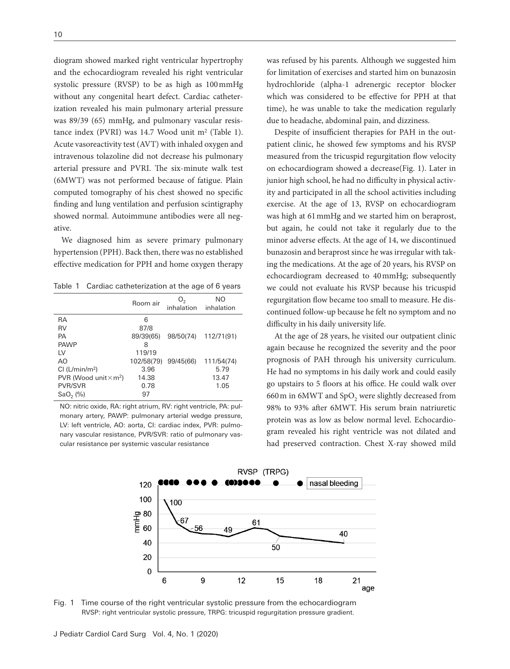diogram showed marked right ventricular hypertrophy and the echocardiogram revealed his right ventricular systolic pressure (RVSP) to be as high as 100 mmHg without any congenital heart defect. Cardiac catheterization revealed his main pulmonary arterial pressure was 89/39 (65) mmHg, and pulmonary vascular resistance index (PVRI) was 14.7 Wood unit m<sup>2</sup> (Table 1). Acute vasoreactivity test (AVT) with inhaled oxygen and intravenous tolazoline did not decrease his pulmonary arterial pressure and PVRI. The six-minute walk test (6MWT) was not performed because of fatigue. Plain computed tomography of his chest showed no specific finding and lung ventilation and perfusion scintigraphy showed normal. Autoimmune antibodies were all negative.

We diagnosed him as severe primary pulmonary hypertension (PPH). Back then, there was no established effective medication for PPH and home oxygen therapy

Table 1 Cardiac catheterization at the age of 6 years

|                                          | Room air   | O <sub>2</sub><br>inhalation | NO<br>inhalation |
|------------------------------------------|------------|------------------------------|------------------|
| RA                                       | 6          |                              |                  |
| <b>RV</b>                                | 87/8       |                              |                  |
| PA                                       | 89/39(65)  | 98/50(74)                    | 112/71(91)       |
| <b>PAWP</b>                              | 8          |                              |                  |
| I V                                      | 119/19     |                              |                  |
| AO                                       | 102/58(79) | 99/45(66)                    | 111/54(74)       |
| Cl (L/min/m <sup>2</sup> )               | 3.96       |                              | 5.79             |
| PVR (Wood unit $\times$ m <sup>2</sup> ) | 14.38      |                              | 13.47            |
| <b>PVR/SVR</b>                           | 0.78       |                              | 1.05             |
| $SaO2$ (%)                               | 97         |                              |                  |

NO: nitric oxide, RA: right atrium, RV: right ventricle, PA: pulmonary artery, PAWP: pulmonary arterial wedge pressure, LV: left ventricle, AO: aorta, CI: cardiac index, PVR: pulmonary vascular resistance, PVR/SVR: ratio of pulmonary vascular resistance per systemic vascular resistance

was refused by his parents. Although we suggested him for limitation of exercises and started him on bunazosin hydrochloride (alpha-1 adrenergic receptor blocker which was considered to be effective for PPH at that time), he was unable to take the medication regularly due to headache, abdominal pain, and dizziness.

Despite of insufficient therapies for PAH in the outpatient clinic, he showed few symptoms and his RVSP measured from the tricuspid regurgitation flow velocity on echocardiogram showed a decrease(Fig. 1). Later in junior high school, he had no difficulty in physical activity and participated in all the school activities including exercise. At the age of 13, RVSP on echocardiogram was high at 61 mmHg and we started him on beraprost, but again, he could not take it regularly due to the minor adverse effects. At the age of 14, we discontinued bunazosin and beraprost since he was irregular with taking the medications. At the age of 20 years, his RVSP on echocardiogram decreased to 40 mmHg; subsequently we could not evaluate his RVSP because his tricuspid regurgitation flow became too small to measure. He discontinued follow-up because he felt no symptom and no difficulty in his daily university life.

At the age of 28 years, he visited our outpatient clinic again because he recognized the severity and the poor prognosis of PAH through his university curriculum. He had no symptoms in his daily work and could easily go upstairs to 5 floors at his office. He could walk over 660 m in 6MWT and SpO<sub>2</sub> were slightly decreased from 98% to 93% after 6MWT. His serum brain natriuretic protein was as low as below normal level. Echocardiogram revealed his right ventricle was not dilated and had preserved contraction. Chest X-ray showed mild



Fig. 1 Time course of the right ventricular systolic pressure from the echocardiogram RVSP: right ventricular systolic pressure, TRPG: tricuspid regurgitation pressure gradient.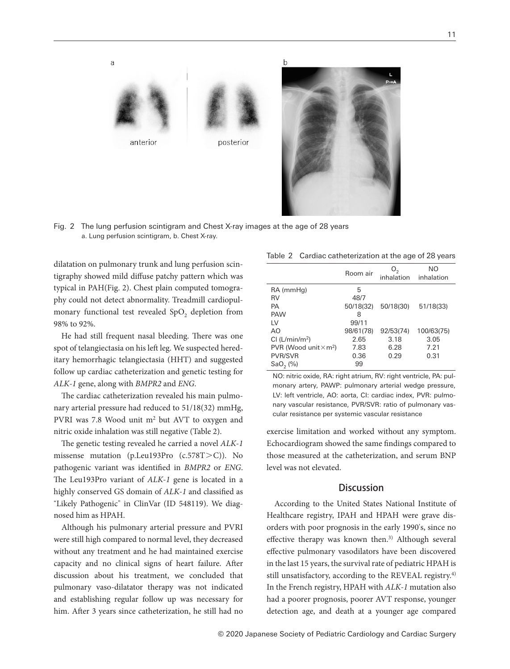

Fig. 2 The lung perfusion scintigram and Chest X-ray images at the age of 28 years a. Lung perfusion scintigram, b. Chest X-ray.

dilatation on pulmonary trunk and lung perfusion scintigraphy showed mild diffuse patchy pattern which was typical in PAH(Fig. 2). Chest plain computed tomography could not detect abnormality. Treadmill cardiopulmonary functional test revealed SpO<sub>2</sub> depletion from 98% to 92%.

He had still frequent nasal bleeding. There was one spot of telangiectasia on his left leg. We suspected hereditary hemorrhagic telangiectasia (HHT) and suggested follow up cardiac catheterization and genetic testing for *ALK-1* gene, along with *BMPR2* and *ENG*.

The cardiac catheterization revealed his main pulmonary arterial pressure had reduced to 51/18(32) mmHg, PVRI was 7.8 Wood unit m2 but AVT to oxygen and nitric oxide inhalation was still negative (Table 2).

The genetic testing revealed he carried a novel *ALK-1* missense mutation (p.Leu193Pro (c.578T>C)). No pathogenic variant was identified in *BMPR2* or *ENG*. The Leu193Pro variant of *ALK-1* gene is located in a highly conserved GS domain of *ALK-1* and classified as "Likely Pathogenic" in ClinVar (ID 548119). We diagnosed him as HPAH.

Although his pulmonary arterial pressure and PVRI were still high compared to normal level, they decreased without any treatment and he had maintained exercise capacity and no clinical signs of heart failure. After discussion about his treatment, we concluded that pulmonary vaso-dilatator therapy was not indicated and establishing regular follow up was necessary for him. After 3 years since catheterization, he still had no

|  | Table 2 Cardiac catheterization at the age of 28 years |  |  |
|--|--------------------------------------------------------|--|--|
|--|--------------------------------------------------------|--|--|

|                                          | Room air  | O <sub>2</sub><br>inhalation | NΟ<br>inhalation |
|------------------------------------------|-----------|------------------------------|------------------|
| RA (mmHg)                                | 5         |                              |                  |
| RV                                       | 48/7      |                              |                  |
| PA                                       | 50/18(32) | 50/18(30)                    | 51/18(33)        |
| <b>PAW</b>                               | 8         |                              |                  |
| IV.                                      | 99/11     |                              |                  |
| AO                                       | 98/61(78) | 92/53(74)                    | 100/63(75)       |
| $Cl$ (L/min/m <sup>2</sup> )             | 2.65      | 3.18                         | 3.05             |
| PVR (Wood unit $\times$ m <sup>2</sup> ) | 7.83      | 6.28                         | 7.21             |
| <b>PVR/SVR</b>                           | 0.36      | 0.29                         | 0.31             |
| $SaO2$ (%)                               | 99        |                              |                  |

NO: nitric oxide, RA: right atrium, RV: right ventricle, PA: pulmonary artery, PAWP: pulmonary arterial wedge pressure, LV: left ventricle, AO: aorta, CI: cardiac index, PVR: pulmonary vascular resistance, PVR/SVR: ratio of pulmonary vascular resistance per systemic vascular resistance

exercise limitation and worked without any symptom. Echocardiogram showed the same findings compared to those measured at the catheterization, and serum BNP level was not elevated.

## **Discussion**

According to the United States National Institute of Healthcare registry, IPAH and HPAH were grave disorders with poor prognosis in the early 1990's, since no effective therapy was known then.<sup>3)</sup> Although several effective pulmonary vasodilators have been discovered in the last 15 years, the survival rate of pediatric HPAH is still unsatisfactory, according to the REVEAL registry.<sup>4)</sup> In the French registry, HPAH with *ALK-1* mutation also had a poorer prognosis, poorer AVT response, younger detection age, and death at a younger age compared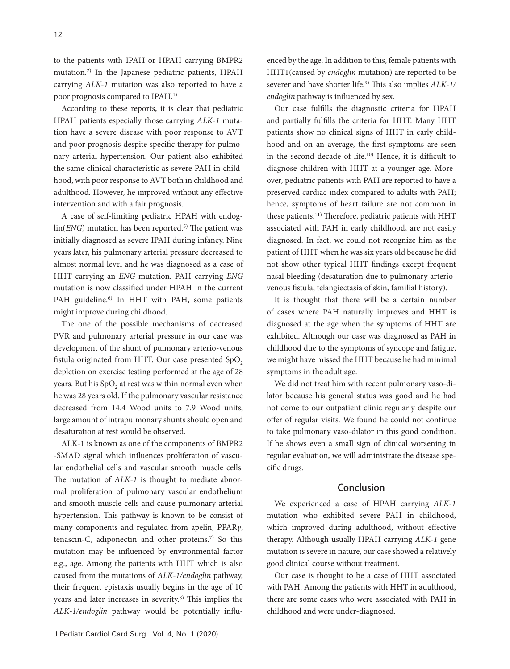to the patients with IPAH or HPAH carrying BMPR2 mutation.2) In the Japanese pediatric patients, HPAH carrying *ALK-1* mutation was also reported to have a poor prognosis compared to IPAH.1)

According to these reports, it is clear that pediatric HPAH patients especially those carrying *ALK-1* mutation have a severe disease with poor response to AVT and poor prognosis despite specific therapy for pulmonary arterial hypertension. Our patient also exhibited the same clinical characteristic as severe PAH in childhood, with poor response to AVT both in childhood and adulthood. However, he improved without any effective intervention and with a fair prognosis.

A case of self-limiting pediatric HPAH with endoglin(*ENG*) mutation has been reported.<sup>5)</sup> The patient was initially diagnosed as severe IPAH during infancy. Nine years later, his pulmonary arterial pressure decreased to almost normal level and he was diagnosed as a case of HHT carrying an *ENG* mutation. PAH carrying *ENG* mutation is now classified under HPAH in the current PAH guideline.<sup>6)</sup> In HHT with PAH, some patients might improve during childhood.

The one of the possible mechanisms of decreased PVR and pulmonary arterial pressure in our case was development of the shunt of pulmonary arterio-venous fistula originated from HHT. Our case presented SpO<sub>2</sub> depletion on exercise testing performed at the age of 28 years. But his  $SpO<sub>2</sub>$  at rest was within normal even when he was 28 years old. If the pulmonary vascular resistance decreased from 14.4 Wood units to 7.9 Wood units, large amount of intrapulmonary shunts should open and desaturation at rest would be observed.

ALK-1 is known as one of the components of BMPR2 -SMAD signal which influences proliferation of vascular endothelial cells and vascular smooth muscle cells. The mutation of *ALK-1* is thought to mediate abnormal proliferation of pulmonary vascular endothelium and smooth muscle cells and cause pulmonary arterial hypertension. This pathway is known to be consist of many components and regulated from apelin, PPAR*γ*, tenascin-C, adiponectin and other proteins.7) So this mutation may be influenced by environmental factor e.g., age. Among the patients with HHT which is also caused from the mutations of *ALK-1/endoglin* pathway, their frequent epistaxis usually begins in the age of 10 years and later increases in severity.8) This implies the *ALK-1/endoglin* pathway would be potentially influenced by the age. In addition to this, female patients with HHT1(caused by *endoglin* mutation) are reported to be severer and have shorter life.9) This also implies *ALK-1/ endoglin* pathway is influenced by sex.

Our case fulfills the diagnostic criteria for HPAH and partially fulfills the criteria for HHT. Many HHT patients show no clinical signs of HHT in early childhood and on an average, the first symptoms are seen in the second decade of life.10) Hence, it is difficult to diagnose children with HHT at a younger age. Moreover, pediatric patients with PAH are reported to have a preserved cardiac index compared to adults with PAH; hence, symptoms of heart failure are not common in these patients.11) Therefore, pediatric patients with HHT associated with PAH in early childhood, are not easily diagnosed. In fact, we could not recognize him as the patient of HHT when he was six years old because he did not show other typical HHT findings except frequent nasal bleeding (desaturation due to pulmonary arteriovenous fistula, telangiectasia of skin, familial history).

It is thought that there will be a certain number of cases where PAH naturally improves and HHT is diagnosed at the age when the symptoms of HHT are exhibited. Although our case was diagnosed as PAH in childhood due to the symptoms of syncope and fatigue, we might have missed the HHT because he had minimal symptoms in the adult age.

We did not treat him with recent pulmonary vaso-dilator because his general status was good and he had not come to our outpatient clinic regularly despite our offer of regular visits. We found he could not continue to take pulmonary vaso-dilator in this good condition. If he shows even a small sign of clinical worsening in regular evaluation, we will administrate the disease specific drugs.

## Conclusion

We experienced a case of HPAH carrying *ALK-1* mutation who exhibited severe PAH in childhood, which improved during adulthood, without effective therapy. Although usually HPAH carrying *ALK-1* gene mutation is severe in nature, our case showed a relatively good clinical course without treatment.

Our case is thought to be a case of HHT associated with PAH. Among the patients with HHT in adulthood, there are some cases who were associated with PAH in childhood and were under-diagnosed.